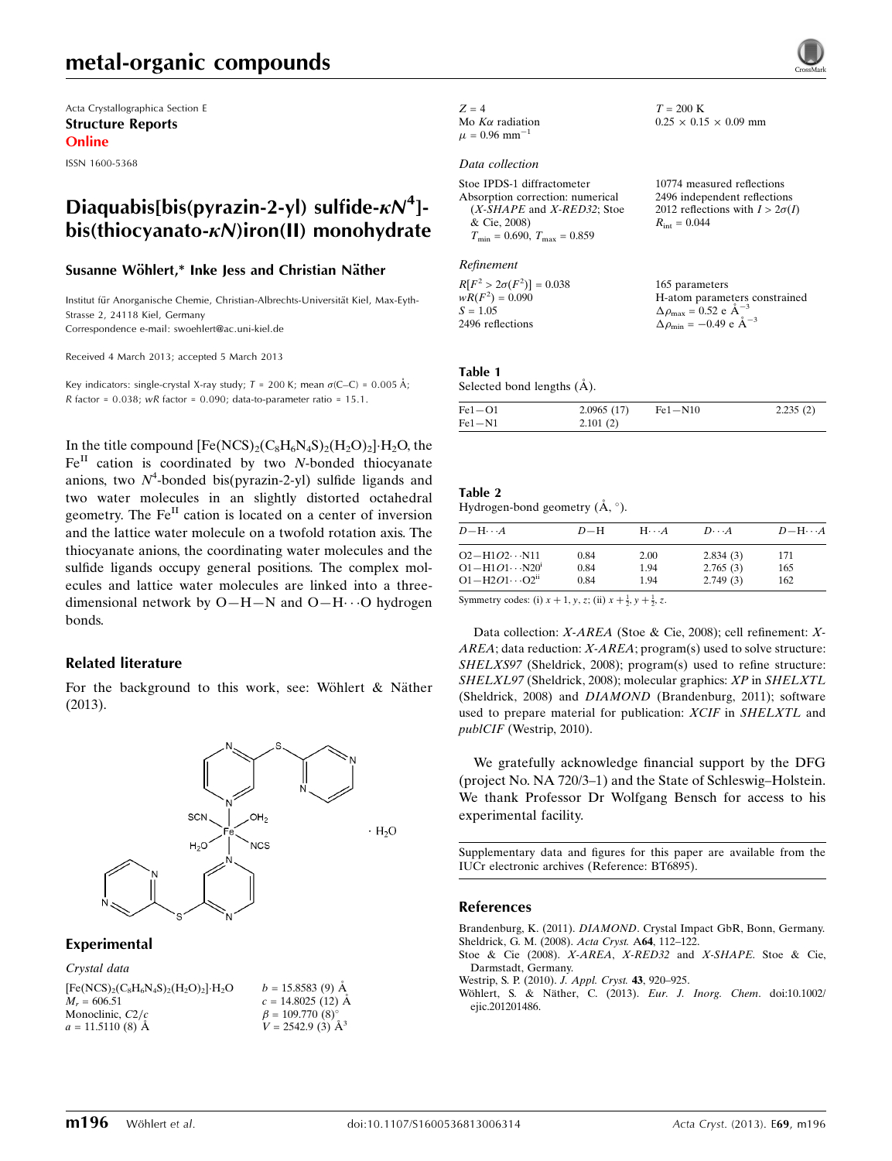## metal-organic compounds

Acta Crystallographica Section E Structure Reports Online

ISSN 1600-5368

## Diaquabis[bis(pyrazin-2-yl) sulfide- $\kappa N^4$ ] $bis$ (thiocyanato- $k$ N)iron(II) monohydrate

### Susanne Wöhlert,\* Inke Jess and Christian Näther

Institut für Anorganische Chemie, Christian-Albrechts-Universität Kiel, Max-Eyth-Strasse 2, 24118 Kiel, Germany Correspondence e-mail: [swoehlert@ac.uni-kiel.de](https://scripts.iucr.org/cgi-bin/cr.cgi?rm=pdfbb&cnor=bt6895&bbid=BB5)

Received 4 March 2013; accepted 5 March 2013

Key indicators: single-crystal X-ray study;  $T = 200$  K; mean  $\sigma$ (C–C) = 0.005 Å; R factor =  $0.038$ ; wR factor =  $0.090$ ; data-to-parameter ratio =  $15.1$ .

In the title compound  $[Fe(NCS)_2(C_8H_6N_4S)_2(H_2O)_2]\cdot H_2O$ , the  $Fe<sup>II</sup>$  cation is coordinated by two N-bonded thiocyanate anions, two  $N^4$ -bonded bis(pyrazin-2-yl) sulfide ligands and two water molecules in an slightly distorted octahedral geometry. The Fe<sup>II</sup> cation is located on a center of inversion and the lattice water molecule on a twofold rotation axis. The thiocyanate anions, the coordinating water molecules and the sulfide ligands occupy general positions. The complex molecules and lattice water molecules are linked into a threedimensional network by  $O-H-N$  and  $O-H\cdots O$  hydrogen bonds.

### Related literature

For the background to this work, see: Wöhlert  $\&$  Näther (2013).



### Experimental

| Crystal data                                            |                                                                |
|---------------------------------------------------------|----------------------------------------------------------------|
| $[Fe(NCS)_{2}(C_{8}H_{6}N_{4}S)_{2}(H_{2}O)_{2}]H_{2}O$ | $b = 15.8583(9)$ Å                                             |
| $M_r = 606.51$                                          | $c = 14.8025(12)$ Å                                            |
| Monoclinic, $C2/c$                                      | $\beta = 109.770$ (8) <sup>o</sup><br>$V = 2542.9$ (3) $\AA^3$ |
| $a = 11.5110(8)$ Å                                      |                                                                |

#### $Z = 4$ Mo  $K\alpha$  radiation

 $\mu = 0.96$  mm<sup>-</sup>

### Data collection

| Stoe IPDS-1 diffractometer                       | 10774 measured reflections             |
|--------------------------------------------------|----------------------------------------|
| Absorption correction: numerical                 | 2496 independent reflections           |
| $(X-SHAPE$ and $X-RED32$ ; Stoe                  | 2012 reflections with $I > 2\sigma(I)$ |
| & Cie, 2008)                                     | $R_{\text{int}} = 0.044$               |
| $T_{\text{min}} = 0.690, T_{\text{max}} = 0.859$ |                                        |

### Refinement

 $R[F^2 > 2\sigma(F^2)] = 0.038$  $wR(F^2) = 0.090$  $S = 1.05$ 2496 reflections 165 parameters H-atom parameters constrained  $\Delta \rho_{\text{max}} = 0.52 \text{ e A}^{-3}$  $\Delta \rho_{\rm min} = -0.49 \text{ e A}^{-3}$ 

 $T = 200 \text{ K}$ 

 $0.25 \times 0.15 \times 0.09$  mm

### Table 1

Selected bond lengths  $(\AA)$ .

| $Fe1 - O1$ | 2.0965(17) | $Fe1 - N10$ | 2.235(2) |
|------------|------------|-------------|----------|
| $Fe1 - N1$ | 2.101(2)   |             |          |

#### Table 2 Hydrogen-bond geometry  $(\AA, \degree)$ .

| $D - H \cdots A$                                                                                                                                                                                                                                                                                                                 | $D-H$ | $H\cdots A$ | $D\cdots A$ | $D - H \cdots A$ |
|----------------------------------------------------------------------------------------------------------------------------------------------------------------------------------------------------------------------------------------------------------------------------------------------------------------------------------|-------|-------------|-------------|------------------|
| $O2 - H1O2 \cdots N11$                                                                                                                                                                                                                                                                                                           | 0.84  | 2.00        | 2.834(3)    | 171              |
| $O1 - H1O1 \cdots N20^{i}$                                                                                                                                                                                                                                                                                                       | 0.84  | 1.94        | 2.765(3)    | 165              |
| $O1 - H2O1 \cdots O2^{ii}$                                                                                                                                                                                                                                                                                                       | 0.84  | 1.94        | 2.749(3)    | 162              |
| $\sigma$ and $\sigma$ and $\sigma$ and $\sigma$ and $\sigma$ and $\sigma$ and $\sigma$ and $\sigma$ and $\sigma$ and $\sigma$ and $\sigma$ and $\sigma$ and $\sigma$ and $\sigma$ and $\sigma$ and $\sigma$ and $\sigma$ and $\sigma$ and $\sigma$ and $\sigma$ and $\sigma$ and $\sigma$ and $\sigma$ and $\sigma$ and $\sigma$ |       |             |             |                  |

Symmetry codes: (i)  $x + 1$ ,  $y$ ,  $z$ ; (ii)  $x + \frac{1}{2}$ ,  $y + \frac{1}{2}$ ,  $z$ .

Data collection: X-AREA (Stoe & Cie, 2008); cell refinement: X- $AREA$ ; data reduction:  $X-AREA$ ; program(s) used to solve structure: SHELXS97 (Sheldrick, 2008); program(s) used to refine structure: SHELXL97 (Sheldrick, 2008); molecular graphics: XP in SHELXTL (Sheldrick, 2008) and DIAMOND (Brandenburg, 2011); software used to prepare material for publication: XCIF in SHELXTL and publCIF (Westrip, 2010).

We gratefully acknowledge financial support by the DFG (project No. NA 720/3–1) and the State of Schleswig–Holstein. We thank Professor Dr Wolfgang Bensch for access to his experimental facility.

Supplementary data and figures for this paper are available from the IUCr electronic archives (Reference: BT6895).

### References

Brandenburg, K. (2011). DIAMOND[. Crystal Impact GbR, Bonn, Germany.](https://scripts.iucr.org/cgi-bin/cr.cgi?rm=pdfbb&cnor=bt6895&bbid=BB1) [Sheldrick, G. M. \(2008\).](https://scripts.iucr.org/cgi-bin/cr.cgi?rm=pdfbb&cnor=bt6895&bbid=BB2) Acta Cryst. A64, 112–122.

[Stoe & Cie \(2008\).](https://scripts.iucr.org/cgi-bin/cr.cgi?rm=pdfbb&cnor=bt6895&bbid=BB3) X-AREA, X-RED32 and X-SHAPE. Stoe & Cie, [Darmstadt, Germany.](https://scripts.iucr.org/cgi-bin/cr.cgi?rm=pdfbb&cnor=bt6895&bbid=BB3)

[Westrip, S. P. \(2010\).](https://scripts.iucr.org/cgi-bin/cr.cgi?rm=pdfbb&cnor=bt6895&bbid=BB4) J. Appl. Cryst. 43, 920–925.

Wöhlert, S. & Näther, C. (2013). Eur. J. Inorg. Chem. doi:10.1002/ [ejic.201201486.](https://scripts.iucr.org/cgi-bin/cr.cgi?rm=pdfbb&cnor=bt6895&bbid=BB5)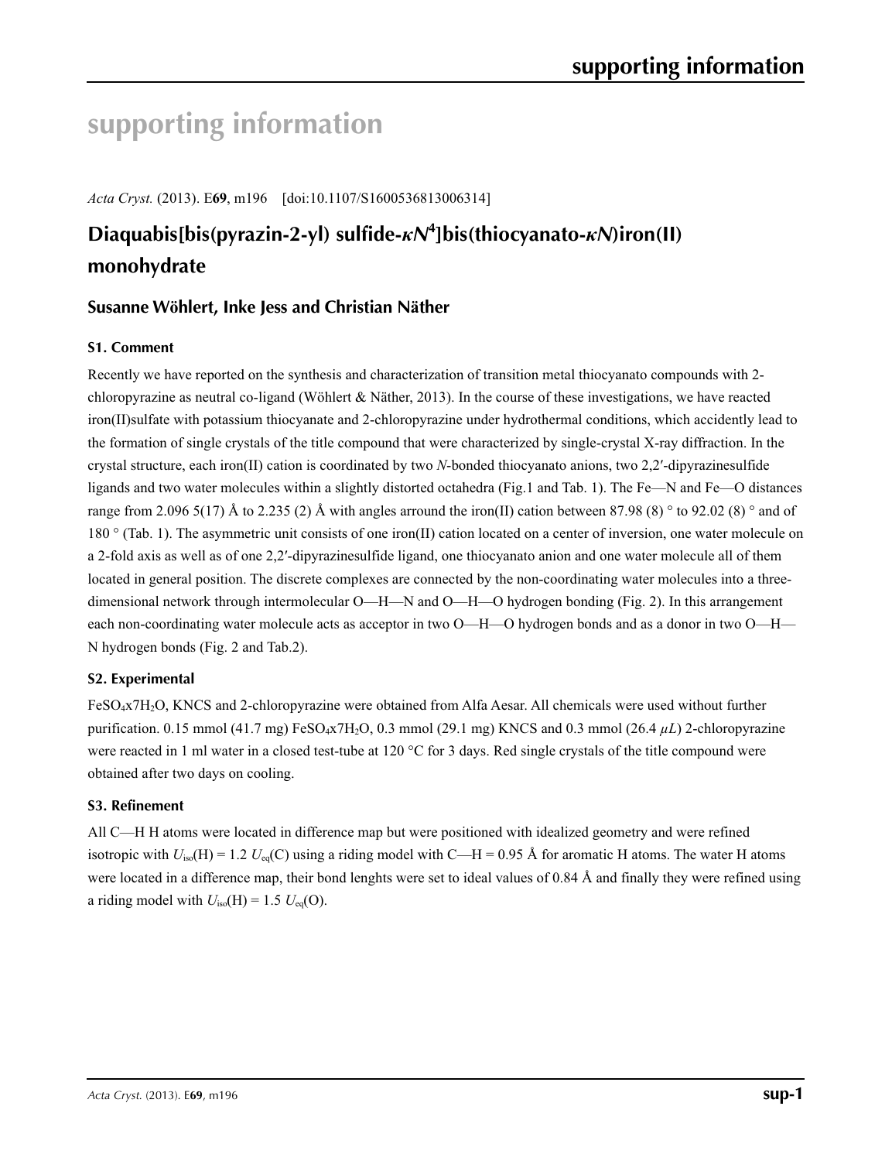# **supporting information**

*Acta Cryst.* (2013). E**69**, m196 [doi:10.1107/S1600536813006314]

# **Diaquabis[bis(pyrazin-2-yl) sulfide-***κN***<sup>4</sup> ]bis(thiocyanato-***κN***)iron(II) monohydrate**

## **Susanne Wöhlert, Inke Jess and Christian Näther**

## **S1. Comment**

Recently we have reported on the synthesis and characterization of transition metal thiocyanato compounds with 2 chloropyrazine as neutral co-ligand (Wöhlert  $\&$  Näther, 2013). In the course of these investigations, we have reacted iron(II)sulfate with potassium thiocyanate and 2-chloropyrazine under hydrothermal conditions, which accidently lead to the formation of single crystals of the title compound that were characterized by single-crystal X-ray diffraction. In the crystal structure, each iron(II) cation is coordinated by two *N*-bonded thiocyanato anions, two 2,2′-dipyrazinesulfide ligands and two water molecules within a slightly distorted octahedra (Fig.1 and Tab. 1). The Fe—N and Fe—O distances range from 2.096 5(17) Å to 2.235 (2) Å with angles arround the iron(II) cation between 87.98 (8) ° to 92.02 (8) ° and of 180 ° (Tab. 1). The asymmetric unit consists of one iron(II) cation located on a center of inversion, one water molecule on a 2-fold axis as well as of one 2,2′-dipyrazinesulfide ligand, one thiocyanato anion and one water molecule all of them located in general position. The discrete complexes are connected by the non-coordinating water molecules into a threedimensional network through intermolecular O—H—N and O—H—O hydrogen bonding (Fig. 2). In this arrangement each non-coordinating water molecule acts as acceptor in two O—H—O hydrogen bonds and as a donor in two O—H— N hydrogen bonds (Fig. 2 and Tab.2).

## **S2. Experimental**

FeSO4x7H2O, KNCS and 2-chloropyrazine were obtained from Alfa Aesar. All chemicals were used without further purification. 0.15 mmol (41.7 mg) FeSO4x7H2O, 0.3 mmol (29.1 mg) KNCS and 0.3 mmol (26.4 *µL*) 2-chloropyrazine were reacted in 1 ml water in a closed test-tube at 120  $\degree$ C for 3 days. Red single crystals of the title compound were obtained after two days on cooling.

## **S3. Refinement**

All C—H H atoms were located in difference map but were positioned with idealized geometry and were refined isotropic with  $U_{iso}(H) = 1.2$   $U_{eq}(C)$  using a riding model with C—H = 0.95 Å for aromatic H atoms. The water H atoms were located in a difference map, their bond lenghts were set to ideal values of 0.84 Å and finally they were refined using a riding model with  $U_{iso}(H) = 1.5 U_{eq}(O)$ .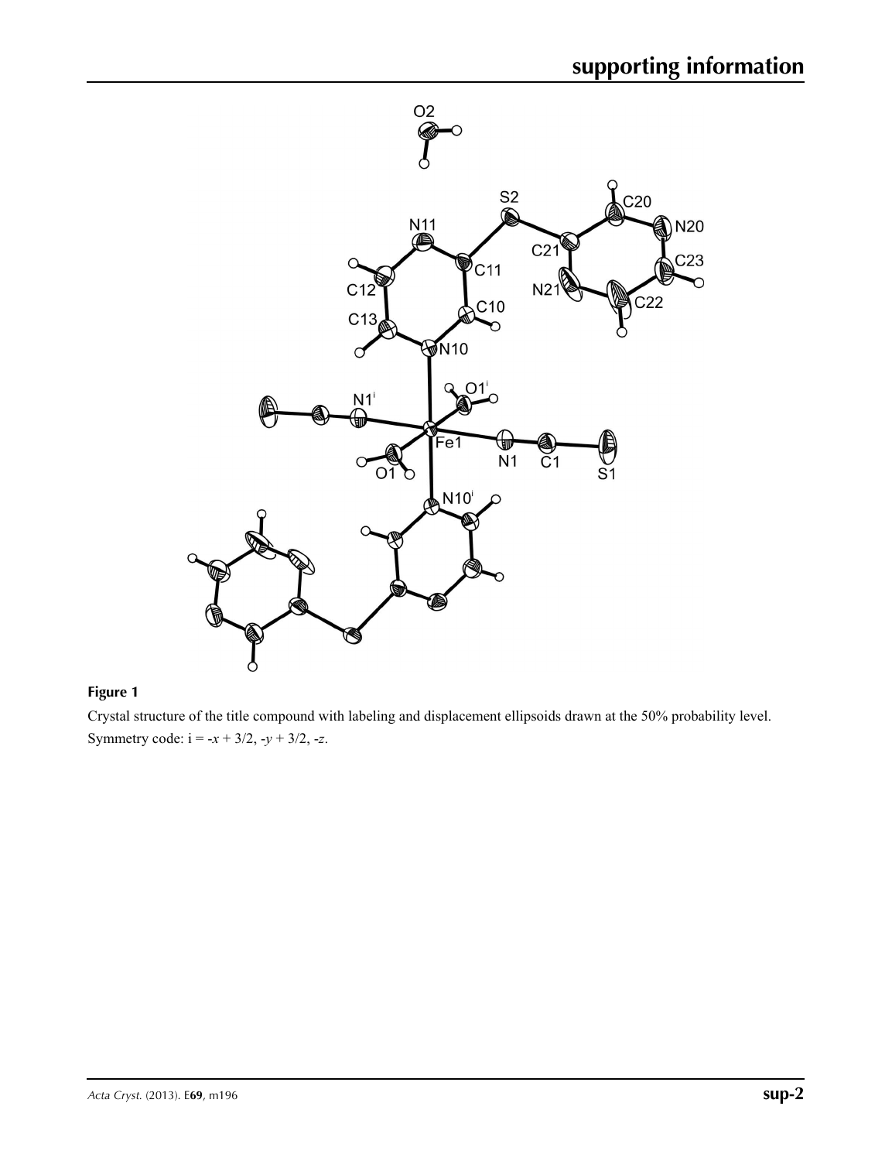

## **Figure 1**

Crystal structure of the title compound with labeling and displacement ellipsoids drawn at the 50% probability level. Symmetry code:  $i = -x + 3/2, -y + 3/2, -z$ .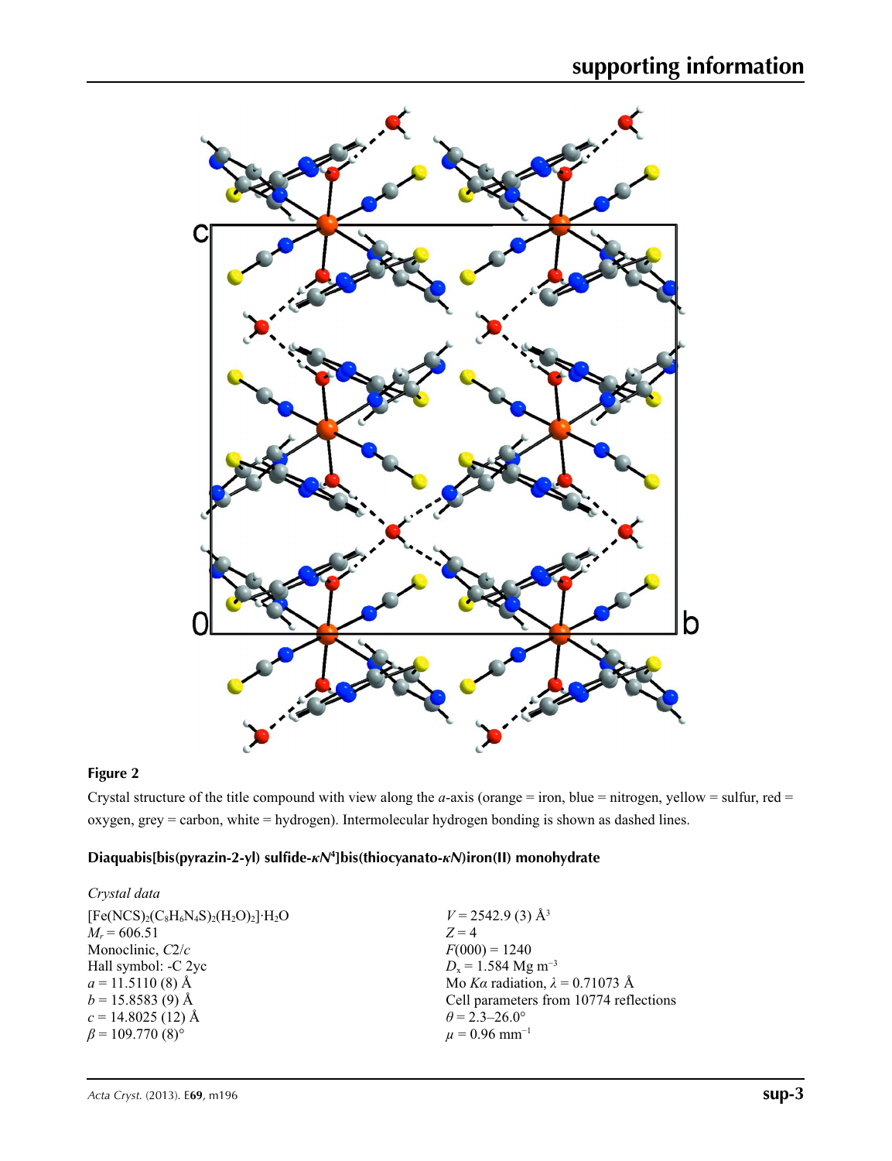

## **Figure 2**

Crystal structure of the title compound with view along the *a*-axis (orange = iron, blue = nitrogen, yellow = sulfur, red = oxygen, grey = carbon, white = hydrogen). Intermolecular hydrogen bonding is shown as dashed lines.

## **Diaquabis[bis(pyrazin-2-yl) sulfide-***κN***<sup>4</sup> ]bis(thiocyanato-***κN***)iron(II) monohydrate**

| Crystal data                            |                                        |
|-----------------------------------------|----------------------------------------|
| $[Fe(NCS)_2(C_8H_6N_4S)_2(H_2O)_2]H_2O$ | $V = 2542.9$ (3) Å <sup>3</sup>        |
| $M_r = 606.51$                          | $Z=4$                                  |
| Monoclinic, $C2/c$                      | $F(000) = 1240$                        |
| Hall symbol: -C 2yc                     | $D_x = 1.584$ Mg m <sup>-3</sup>       |
| $a = 11.5110(8)$ Å                      | Mo Ka radiation, $\lambda = 0.71073$ Å |
| $b = 15.8583(9)$ Å                      | Cell parameters from 10774 reflections |
| $c = 14.8025(12)$ Å                     | $\theta$ = 2.3–26.0°                   |
| $\beta$ = 109.770 (8) <sup>o</sup>      | $\mu = 0.96$ mm <sup>-1</sup>          |
|                                         |                                        |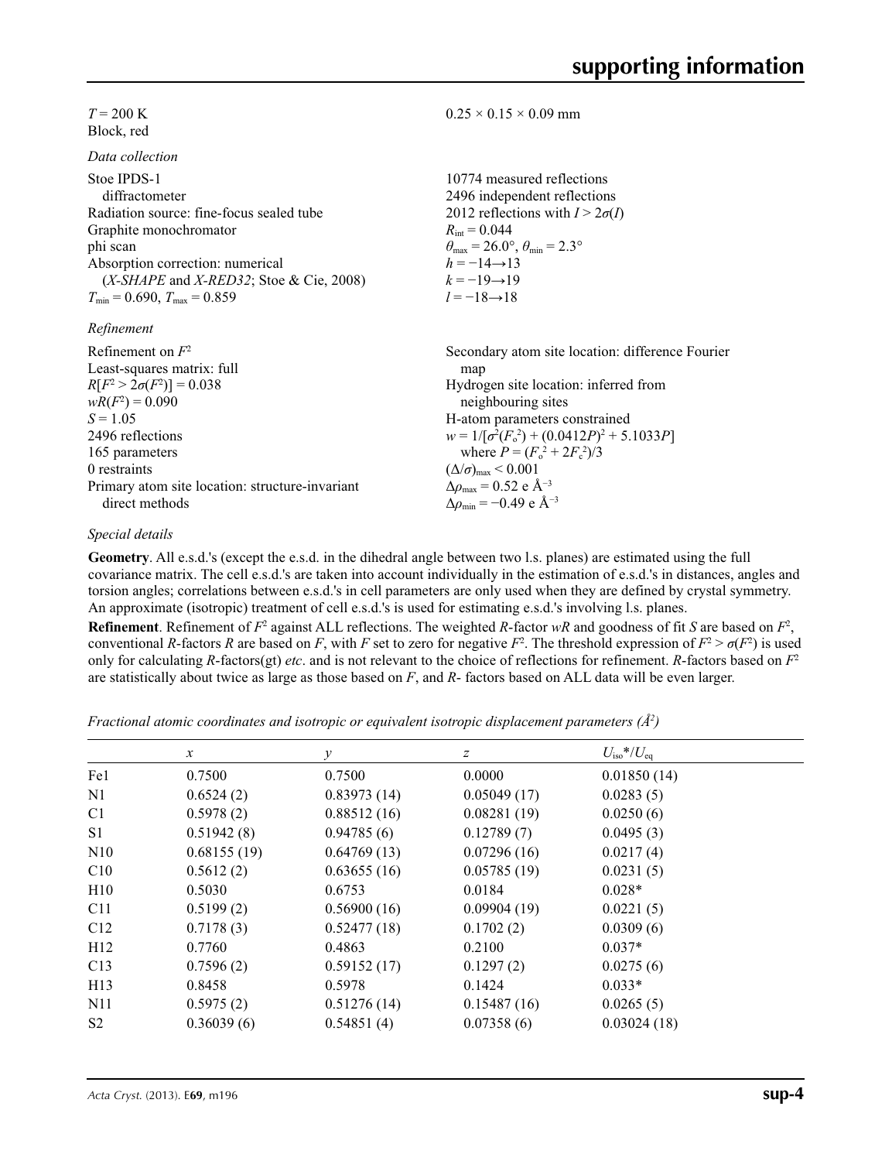### $T = 200 \text{ K}$ Block, red

*Data collection*

| Рата сонеспоп                                |                                                                         |
|----------------------------------------------|-------------------------------------------------------------------------|
| Stoe IPDS-1<br>diffractometer                | 10774 measured reflections<br>2496 independent reflections              |
| Radiation source: fine-focus sealed tube     | 2012 reflections with $I > 2\sigma(I)$                                  |
| Graphite monochromator                       | $R_{\rm int} = 0.044$                                                   |
| phi scan                                     | $\theta_{\text{max}} = 26.0^{\circ}, \theta_{\text{min}} = 2.3^{\circ}$ |
| Absorption correction: numerical             | $h = -14 \rightarrow 13$                                                |
| $(X-SHAPE$ and $X-RED32$ ; Stoe & Cie, 2008) | $k = -19 \rightarrow 19$                                                |
| $T_{\min}$ = 0.690, $T_{\max}$ = 0.859       | $l = -18 \rightarrow 18$                                                |
| Refinement                                   |                                                                         |
| Refinement on $F^2$                          | Secondary atom site location: difference Fourier                        |
| Least-squares matrix: full                   | map                                                                     |
| $R[F^2 > 2\sigma(F^2)] = 0.038$              | Hydrogen site location: inferred from                                   |
| $wR(F^2) = 0.090$                            | neighbouring sites                                                      |
| $S = 1.05$                                   | H-atom parameters constrained                                           |
|                                              |                                                                         |

2496 reflections 165 parameters 0 restraints Primary atom site location: structure-invariant direct methods  $w = 1/[\sigma^2 (F_o^2) + (0.0412P)^2 + 5.1033P]$ where  $P = (F_o^2 + 2F_c^2)/3$  $(\Delta/\sigma)_{\text{max}}$  < 0.001 Δ*ρ*max = 0.52 e Å−3  $\Delta\rho_{\text{min}} = -0.49$  e Å<sup>-3</sup>

### *Special details*

**Geometry**. All e.s.d.'s (except the e.s.d. in the dihedral angle between two l.s. planes) are estimated using the full covariance matrix. The cell e.s.d.'s are taken into account individually in the estimation of e.s.d.'s in distances, angles and torsion angles; correlations between e.s.d.'s in cell parameters are only used when they are defined by crystal symmetry. An approximate (isotropic) treatment of cell e.s.d.'s is used for estimating e.s.d.'s involving l.s. planes.

 $0.25 \times 0.15 \times 0.09$  mm

**Refinement**. Refinement of  $F^2$  against ALL reflections. The weighted *R*-factor  $wR$  and goodness of fit *S* are based on  $F^2$ , conventional *R*-factors *R* are based on *F*, with *F* set to zero for negative  $F^2$ . The threshold expression of  $F^2 > \sigma(F^2)$  is used only for calculating *R*-factors(gt) *etc*. and is not relevant to the choice of reflections for refinement. *R*-factors based on *F*<sup>2</sup> are statistically about twice as large as those based on *F*, and *R*- factors based on ALL data will be even larger.

*Fractional atomic coordinates and isotropic or equivalent isotropic displacement parameters (Å<sup>2</sup>)* 

|                 | $\mathcal{X}$ | v           | $\boldsymbol{z}$ | $U_{\rm iso}*/U_{\rm eq}$ |  |
|-----------------|---------------|-------------|------------------|---------------------------|--|
| Fe1             | 0.7500        | 0.7500      | 0.0000           | 0.01850(14)               |  |
| N <sub>1</sub>  | 0.6524(2)     | 0.83973(14) | 0.05049(17)      | 0.0283(5)                 |  |
| C <sub>1</sub>  | 0.5978(2)     | 0.88512(16) | 0.08281(19)      | 0.0250(6)                 |  |
| S <sub>1</sub>  | 0.51942(8)    | 0.94785(6)  | 0.12789(7)       | 0.0495(3)                 |  |
| N10             | 0.68155(19)   | 0.64769(13) | 0.07296(16)      | 0.0217(4)                 |  |
| C10             | 0.5612(2)     | 0.63655(16) | 0.05785(19)      | 0.0231(5)                 |  |
| H10             | 0.5030        | 0.6753      | 0.0184           | $0.028*$                  |  |
| C <sub>11</sub> | 0.5199(2)     | 0.56900(16) | 0.09904(19)      | 0.0221(5)                 |  |
| C12             | 0.7178(3)     | 0.52477(18) | 0.1702(2)        | 0.0309(6)                 |  |
| H12             | 0.7760        | 0.4863      | 0.2100           | $0.037*$                  |  |
| C13             | 0.7596(2)     | 0.59152(17) | 0.1297(2)        | 0.0275(6)                 |  |
| H13             | 0.8458        | 0.5978      | 0.1424           | $0.033*$                  |  |
| N <sub>1</sub>  | 0.5975(2)     | 0.51276(14) | 0.15487(16)      | 0.0265(5)                 |  |
| S <sub>2</sub>  | 0.36039(6)    | 0.54851(4)  | 0.07358(6)       | 0.03024(18)               |  |
|                 |               |             |                  |                           |  |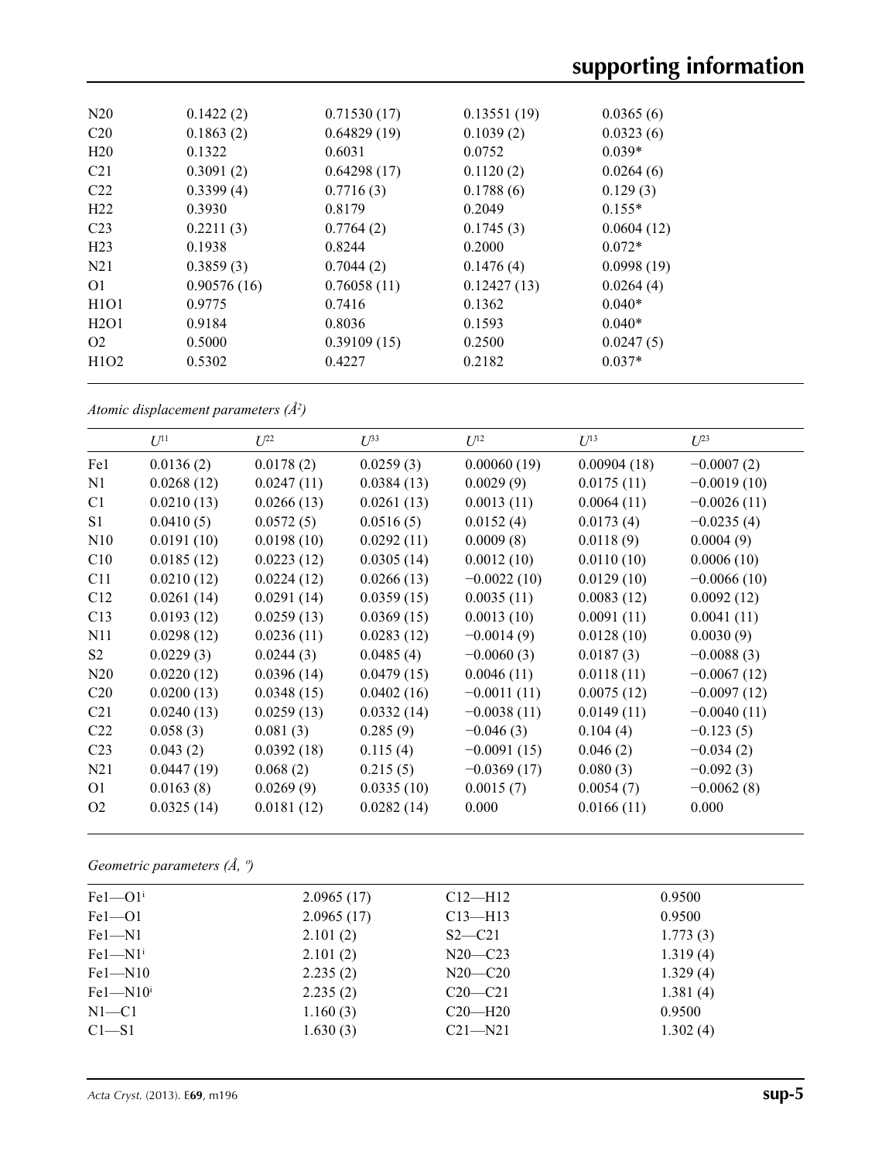| N20                           | 0.1422(2)   | 0.71530(17) | 0.13551(19) | 0.0365(6)  |
|-------------------------------|-------------|-------------|-------------|------------|
| C <sub>20</sub>               | 0.1863(2)   | 0.64829(19) | 0.1039(2)   | 0.0323(6)  |
| H20                           | 0.1322      | 0.6031      | 0.0752      | $0.039*$   |
| C <sub>21</sub>               | 0.3091(2)   | 0.64298(17) | 0.1120(2)   | 0.0264(6)  |
| C <sub>22</sub>               | 0.3399(4)   | 0.7716(3)   | 0.1788(6)   | 0.129(3)   |
| H <sub>22</sub>               | 0.3930      | 0.8179      | 0.2049      | $0.155*$   |
| C <sub>23</sub>               | 0.2211(3)   | 0.7764(2)   | 0.1745(3)   | 0.0604(12) |
| H <sub>23</sub>               | 0.1938      | 0.8244      | 0.2000      | $0.072*$   |
| N21                           | 0.3859(3)   | 0.7044(2)   | 0.1476(4)   | 0.0998(19) |
| 01                            | 0.90576(16) | 0.76058(11) | 0.12427(13) | 0.0264(4)  |
| H <sub>1</sub> O <sub>1</sub> | 0.9775      | 0.7416      | 0.1362      | $0.040*$   |
| H2O1                          | 0.9184      | 0.8036      | 0.1593      | $0.040*$   |
| O <sub>2</sub>                | 0.5000      | 0.39109(15) | 0.2500      | 0.0247(5)  |
| H <sub>1</sub> O <sub>2</sub> | 0.5302      | 0.4227      | 0.2182      | $0.037*$   |
|                               |             |             |             |            |

*Atomic displacement parameters (Å2 )*

|                 | $U^{11}$   | $L^{22}$   | $\mathcal{L}^{\beta 3}$ | $U^{12}$      | $U^{13}$    | $U^{23}$      |
|-----------------|------------|------------|-------------------------|---------------|-------------|---------------|
| Fe1             | 0.0136(2)  | 0.0178(2)  | 0.0259(3)               | 0.00060(19)   | 0.00904(18) | $-0.0007(2)$  |
| N1              | 0.0268(12) | 0.0247(11) | 0.0384(13)              | 0.0029(9)     | 0.0175(11)  | $-0.0019(10)$ |
| C <sub>1</sub>  | 0.0210(13) | 0.0266(13) | 0.0261(13)              | 0.0013(11)    | 0.0064(11)  | $-0.0026(11)$ |
| S1              | 0.0410(5)  | 0.0572(5)  | 0.0516(5)               | 0.0152(4)     | 0.0173(4)   | $-0.0235(4)$  |
| N10             | 0.0191(10) | 0.0198(10) | 0.0292(11)              | 0.0009(8)     | 0.0118(9)   | 0.0004(9)     |
| C10             | 0.0185(12) | 0.0223(12) | 0.0305(14)              | 0.0012(10)    | 0.0110(10)  | 0.0006(10)    |
| C11             | 0.0210(12) | 0.0224(12) | 0.0266(13)              | $-0.0022(10)$ | 0.0129(10)  | $-0.0066(10)$ |
| C12             | 0.0261(14) | 0.0291(14) | 0.0359(15)              | 0.0035(11)    | 0.0083(12)  | 0.0092(12)    |
| C13             | 0.0193(12) | 0.0259(13) | 0.0369(15)              | 0.0013(10)    | 0.0091(11)  | 0.0041(11)    |
| N11             | 0.0298(12) | 0.0236(11) | 0.0283(12)              | $-0.0014(9)$  | 0.0128(10)  | 0.0030(9)     |
| S <sub>2</sub>  | 0.0229(3)  | 0.0244(3)  | 0.0485(4)               | $-0.0060(3)$  | 0.0187(3)   | $-0.0088(3)$  |
| N20             | 0.0220(12) | 0.0396(14) | 0.0479(15)              | 0.0046(11)    | 0.0118(11)  | $-0.0067(12)$ |
| C <sub>20</sub> | 0.0200(13) | 0.0348(15) | 0.0402(16)              | $-0.0011(11)$ | 0.0075(12)  | $-0.0097(12)$ |
| C <sub>21</sub> | 0.0240(13) | 0.0259(13) | 0.0332(14)              | $-0.0038(11)$ | 0.0149(11)  | $-0.0040(11)$ |
| C <sub>22</sub> | 0.058(3)   | 0.081(3)   | 0.285(9)                | $-0.046(3)$   | 0.104(4)    | $-0.123(5)$   |
| C <sub>23</sub> | 0.043(2)   | 0.0392(18) | 0.115(4)                | $-0.0091(15)$ | 0.046(2)    | $-0.034(2)$   |
| N <sub>21</sub> | 0.0447(19) | 0.068(2)   | 0.215(5)                | $-0.0369(17)$ | 0.080(3)    | $-0.092(3)$   |
| 01              | 0.0163(8)  | 0.0269(9)  | 0.0335(10)              | 0.0015(7)     | 0.0054(7)   | $-0.0062(8)$  |
| O <sub>2</sub>  | 0.0325(14) | 0.0181(12) | 0.0282(14)              | 0.000         | 0.0166(11)  | 0.000         |
|                 |            |            |                         |               |             |               |

*Geometric parameters (Å, º)*

| $Fe1 - O1i$           | 2.0965(17) | $C12-H12$   | 0.9500   |  |
|-----------------------|------------|-------------|----------|--|
| $Fe1 - O1$            | 2.0965(17) | $C13$ —H13  | 0.9500   |  |
| $Fe1 - N1$            | 2.101(2)   | $S2 - C21$  | 1.773(3) |  |
| $Fe1-M1$ <sup>i</sup> | 2.101(2)   | $N20 - C23$ | 1.319(4) |  |
| $Fe1 - N10$           | 2.235(2)   | $N20 - C20$ | 1.329(4) |  |
| $Fe1 - N10i$          | 2.235(2)   | $C20-C21$   | 1.381(4) |  |
| $N1 - C1$             | 1.160(3)   | $C20-H20$   | 0.9500   |  |
| $C1-S1$               | 1.630(3)   | $C21 - N21$ | 1.302(4) |  |
|                       |            |             |          |  |